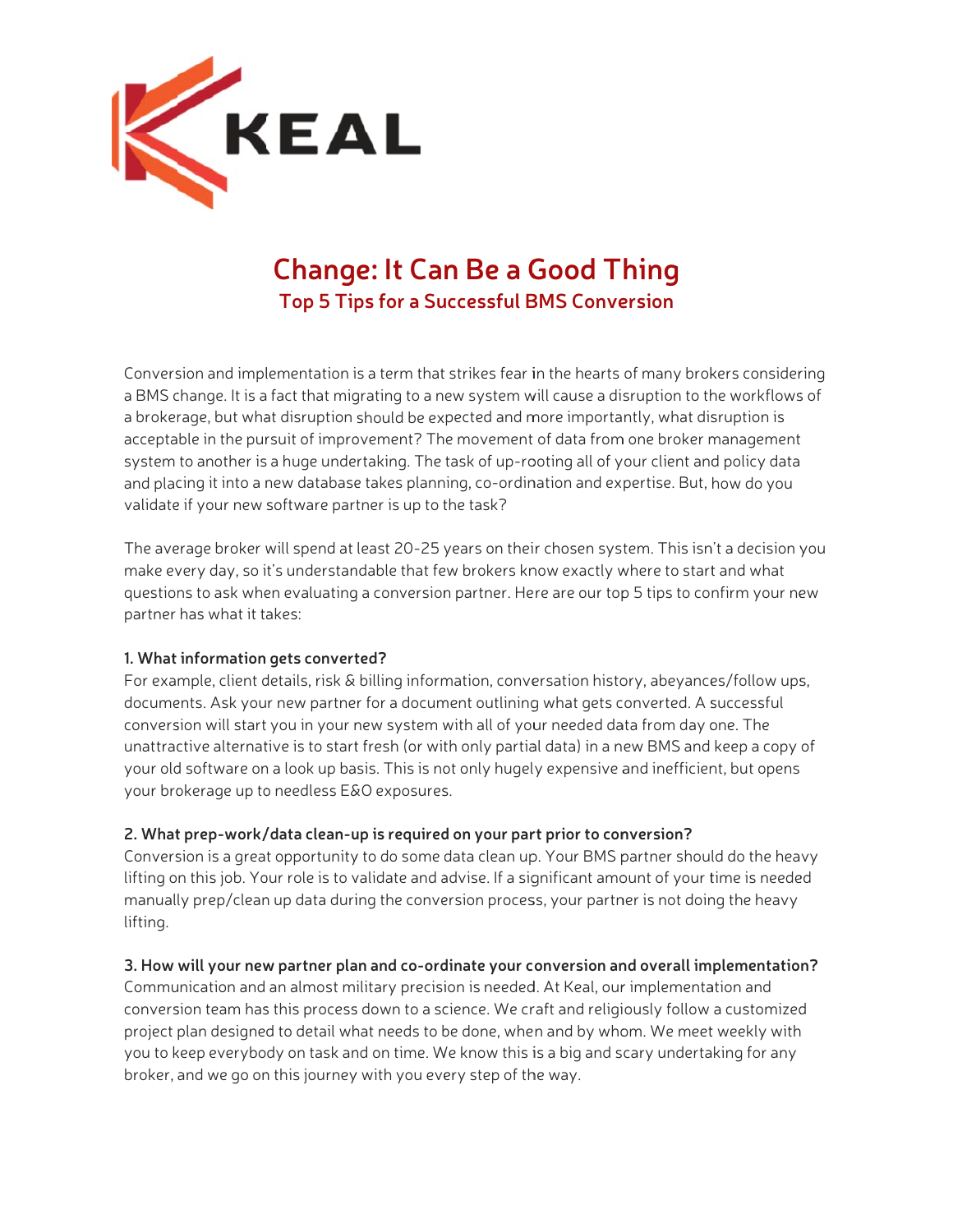

# **Chang e: It Ca n Be a G Good T hing Top 5 Tip ps for a Su uccessful B BMS Conve ersion**

Conversion and implementation is a term that strikes fear in the hearts of many brokers considering a BMS change. It is a fact that migrating to a new system will cause a disruption to the workflows of a brokerage, but what disruption should be expected and more importantly, what disruption is acceptable in the pursuit of improvement? The movement of data from one broker management system to another is a huge undertaking. The task of up-rooting all of your client and policy data and placing it into a new database takes planning, co-ordination and expertise. But, how do you validate if your new software partner is up to the task?

The average broker will spend at least 20-25 years on their chosen system. This isn't a decision you make every day, so it's understandable that few brokers know exactly where to start and what questions to ask when evaluating a conversion partner. Here are our top 5 tips to confirm your new partner has what it takes:

# **1. What information gets convert ted?**

For example, client details, risk & billing information, conversation history, abeyances/follow ups, documents. Ask your new partner for a document outlining what gets converted. A successful conversion will start you in your new system with all of your needed data from day one. The unattractive alternative is to start fresh (or with only partial data) in a new BMS and keep a copy of your old software on a look up basis. This is not only hugely expensive and inefficient, but opens your brokerage up to needless E&O exposures.

## **2. What t prep-work/ /data clean-u up is required d on your par rt prior to con nversion?**

Conversion is a great opportunity to do some data clean up. Your BMS partner should do the heavy lifting on this job. Your role is to validate and advise. If a significant amount of your time is needed manually prep/clean up data during the conversion process, your partner is not doing the heavy lifting.

## **3. How will your new w partner pla an and co-ord dinate your c onversion an nd overall im plementatio n?**

Communication and an almost military precision is needed. At Keal, our implementation and conversion team has this process down to a science. We craft and religiously follow a customized project plan designed to detail what needs to be done, when and by whom. We meet weekly with you to keep everybody on task and on time. We know this is a big and scary undertaking for any broker, and we go on this journey with you every step of the way.